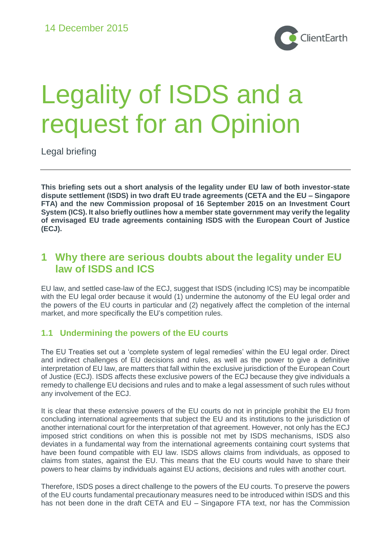

# Legality of ISDS and a request for an Opinion

Legal briefing

**This briefing sets out a short analysis of the legality under EU law of both investor-state dispute settlement (ISDS) in two draft EU trade agreements (CETA and the EU – Singapore FTA) and the new Commission proposal of 16 September 2015 on an Investment Court System (ICS). It also briefly outlines how a member state government may verify the legality of envisaged EU trade agreements containing ISDS with the European Court of Justice (ECJ).** 

## **1 Why there are serious doubts about the legality under EU law of ISDS and ICS**

EU law, and settled case-law of the ECJ, suggest that ISDS (including ICS) may be incompatible with the EU legal order because it would (1) undermine the autonomy of the EU legal order and the powers of the EU courts in particular and (2) negatively affect the completion of the internal market, and more specifically the EU's competition rules.

### **1.1 Undermining the powers of the EU courts**

The EU Treaties set out a 'complete system of legal remedies' within the EU legal order. Direct and indirect challenges of EU decisions and rules, as well as the power to give a definitive interpretation of EU law, are matters that fall within the exclusive jurisdiction of the European Court of Justice (ECJ). ISDS affects these exclusive powers of the ECJ because they give individuals a remedy to challenge EU decisions and rules and to make a legal assessment of such rules without any involvement of the ECJ.

It is clear that these extensive powers of the EU courts do not in principle prohibit the EU from concluding international agreements that subject the EU and its institutions to the jurisdiction of another international court for the interpretation of that agreement. However, not only has the ECJ imposed strict conditions on when this is possible not met by ISDS mechanisms, ISDS also deviates in a fundamental way from the international agreements containing court systems that have been found compatible with EU law. ISDS allows claims from individuals, as opposed to claims from states, against the EU. This means that the EU courts would have to share their powers to hear claims by individuals against EU actions, decisions and rules with another court.

Therefore, ISDS poses a direct challenge to the powers of the EU courts. To preserve the powers of the EU courts fundamental precautionary measures need to be introduced within ISDS and this has not been done in the draft CETA and EU – Singapore FTA text, nor has the Commission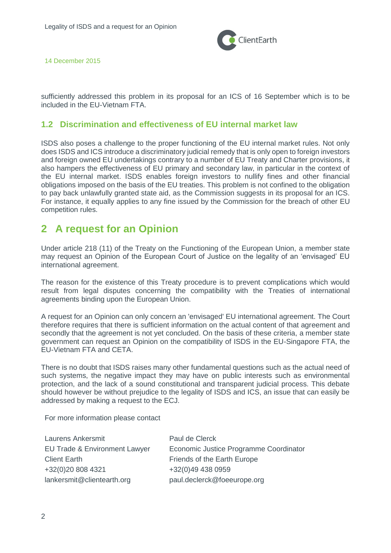

14 December 2015

sufficiently addressed this problem in its proposal for an ICS of 16 September which is to be included in the EU-Vietnam FTA.

#### **1.2 Discrimination and effectiveness of EU internal market law**

ISDS also poses a challenge to the proper functioning of the EU internal market rules. Not only does ISDS and ICS introduce a discriminatory judicial remedy that is only open to foreign investors and foreign owned EU undertakings contrary to a number of EU Treaty and Charter provisions, it also hampers the effectiveness of EU primary and secondary law, in particular in the context of the EU internal market. ISDS enables foreign investors to nullify fines and other financial obligations imposed on the basis of the EU treaties. This problem is not confined to the obligation to pay back unlawfully granted state aid, as the Commission suggests in its proposal for an ICS. For instance, it equally applies to any fine issued by the Commission for the breach of other EU competition rules.

## **2 A request for an Opinion**

Under article 218 (11) of the Treaty on the Functioning of the European Union, a member state may request an Opinion of the European Court of Justice on the legality of an 'envisaged' EU international agreement.

The reason for the existence of this Treaty procedure is to prevent complications which would result from legal disputes concerning the compatibility with the Treaties of international agreements binding upon the European Union.

A request for an Opinion can only concern an 'envisaged' EU international agreement. The Court therefore requires that there is sufficient information on the actual content of that agreement and secondly that the agreement is not yet concluded. On the basis of these criteria, a member state government can request an Opinion on the compatibility of ISDS in the EU-Singapore FTA, the EU-Vietnam FTA and CETA.

There is no doubt that ISDS raises many other fundamental questions such as the actual need of such systems, the negative impact they may have on public interests such as environmental protection, and the lack of a sound constitutional and transparent judicial process. This debate should however be without prejudice to the legality of ISDS and ICS, an issue that can easily be addressed by making a request to the ECJ.

For more information please contact

| <b>Laurens Ankersmit</b>      | Paul de Clerck                         |
|-------------------------------|----------------------------------------|
| EU Trade & Environment Lawyer | Economic Justice Programme Coordinator |
| <b>Client Earth</b>           | Friends of the Earth Europe            |
| +32(0)20 808 4321             | +32(0)49 438 0959                      |
| lankersmit@clientearth.org    | paul.declerck@foeeurope.org            |